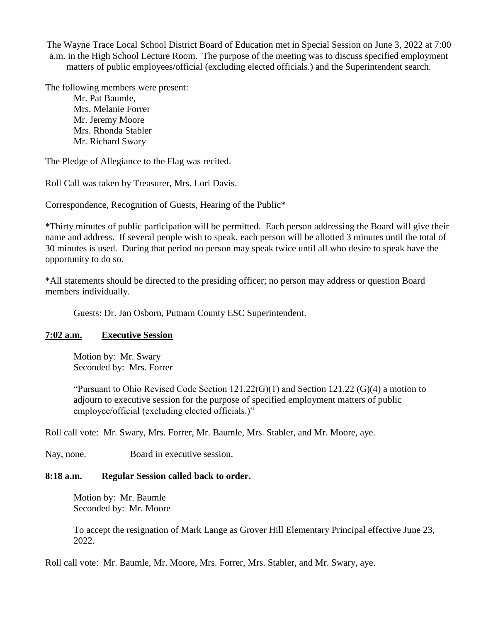The Wayne Trace Local School District Board of Education met in Special Session on June 3, 2022 at 7:00 a.m. in the High School Lecture Room. The purpose of the meeting was to discuss specified employment matters of public employees/official (excluding elected officials.) and the Superintendent search.

The following members were present:

Mr. Pat Baumle, Mrs. Melanie Forrer Mr. Jeremy Moore Mrs. Rhonda Stabler Mr. Richard Swary

The Pledge of Allegiance to the Flag was recited.

Roll Call was taken by Treasurer, Mrs. Lori Davis.

Correspondence, Recognition of Guests, Hearing of the Public\*

\*Thirty minutes of public participation will be permitted. Each person addressing the Board will give their name and address. If several people wish to speak, each person will be allotted 3 minutes until the total of 30 minutes is used. During that period no person may speak twice until all who desire to speak have the opportunity to do so.

\*All statements should be directed to the presiding officer; no person may address or question Board members individually.

Guests: Dr. Jan Osborn, Putnam County ESC Superintendent.

## **7:02 a.m. Executive Session**

Motion by: Mr. Swary Seconded by: Mrs. Forrer

"Pursuant to Ohio Revised Code Section 121.22(G)(1) and Section 121.22 (G)(4) a motion to adjourn to executive session for the purpose of specified employment matters of public employee/official (excluding elected officials.)"

Roll call vote: Mr. Swary, Mrs. Forrer, Mr. Baumle, Mrs. Stabler, and Mr. Moore, aye.

Nay, none. Board in executive session.

## **8:18 a.m. Regular Session called back to order.**

Motion by: Mr. Baumle Seconded by: Mr. Moore

To accept the resignation of Mark Lange as Grover Hill Elementary Principal effective June 23, 2022.

Roll call vote: Mr. Baumle, Mr. Moore, Mrs. Forrer, Mrs. Stabler, and Mr. Swary, aye.